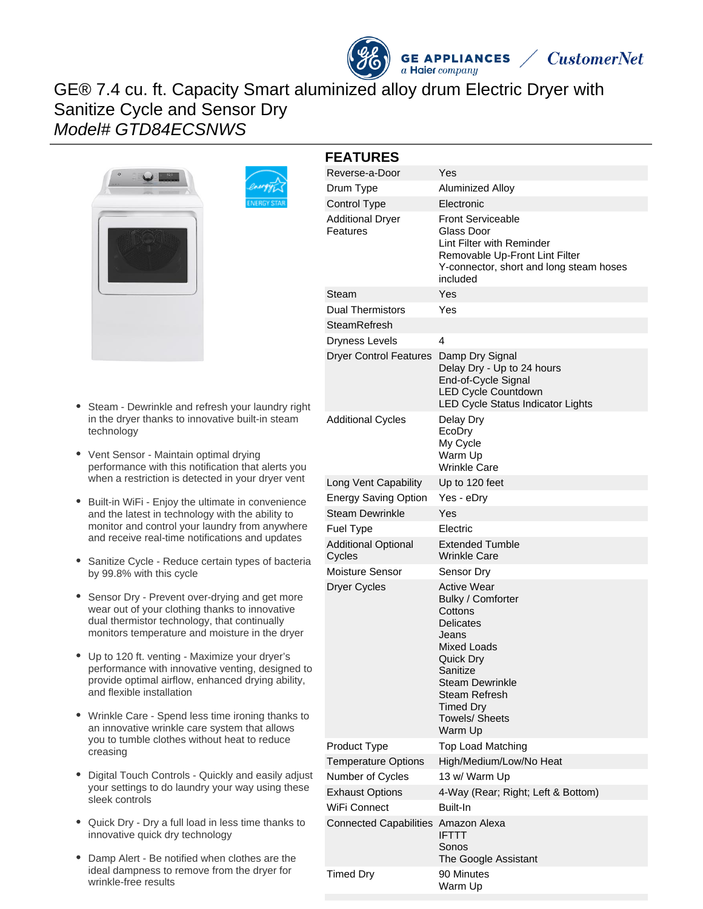# GE® 7.4 cu. ft. Capacity Smart aluminized alloy drum Electric Dryer with Sanitize Cycle and Sensor Dry Model# GTD84ECSNWS



- Steam Dewrinkle and refresh your laundry right in the dryer thanks to innovative built-in steam technology
- Vent Sensor Maintain optimal drying performance with this notification that alerts you when a restriction is detected in your dryer vent
- Built-in WiFi Enjoy the ultimate in convenience and the latest in technology with the ability to monitor and control your laundry from anywhere and receive real-time notifications and updates
- Sanitize Cycle Reduce certain types of bacteria by 99.8% with this cycle
- Sensor Dry Prevent over-drying and get more wear out of your clothing thanks to innovative dual thermistor technology, that continually monitors temperature and moisture in the dryer
- Up to 120 ft. venting Maximize your dryer's performance with innovative venting, designed to provide optimal airflow, enhanced drying ability, and flexible installation
- Wrinkle Care Spend less time ironing thanks to an innovative wrinkle care system that allows you to tumble clothes without heat to reduce creasing
- Digital Touch Controls Quickly and easily adjust your settings to do laundry your way using these sleek controls
- Quick Dry Dry a full load in less time thanks to innovative quick dry technology
- Damp Alert Be notified when clothes are the  $\bullet$ ideal dampness to remove from the dryer for wrinkle-free results

| <b>FEATURES</b>                         |                                                                                                                                                                                                                                   |
|-----------------------------------------|-----------------------------------------------------------------------------------------------------------------------------------------------------------------------------------------------------------------------------------|
| Reverse-a-Door                          | Yes                                                                                                                                                                                                                               |
| Drum Type                               | Aluminized Alloy                                                                                                                                                                                                                  |
| <b>Control Type</b>                     | <b>Electronic</b>                                                                                                                                                                                                                 |
| <b>Additional Dryer</b><br>Features     | <b>Front Serviceable</b><br>Glass Door<br>Lint Filter with Reminder<br>Removable Up-Front Lint Filter<br>Y-connector, short and long steam hoses<br>included                                                                      |
| Steam                                   | Yes                                                                                                                                                                                                                               |
| <b>Dual Thermistors</b><br>SteamRefresh | Yes                                                                                                                                                                                                                               |
| Dryness Levels                          | 4                                                                                                                                                                                                                                 |
| <b>Dryer Control Features</b>           | Damp Dry Signal<br>Delay Dry - Up to 24 hours<br>End-of-Cycle Signal<br><b>LED Cycle Countdown</b><br>LED Cycle Status Indicator Lights                                                                                           |
| <b>Additional Cycles</b>                | Delay Dry<br>EcoDry<br>My Cycle<br>Warm Up<br><b>Wrinkle Care</b>                                                                                                                                                                 |
| Long Vent Capability                    | Up to 120 feet                                                                                                                                                                                                                    |
| <b>Energy Saving Option</b>             | Yes - eDry                                                                                                                                                                                                                        |
| <b>Steam Dewrinkle</b>                  | Yes                                                                                                                                                                                                                               |
| Fuel Type                               | Electric                                                                                                                                                                                                                          |
| <b>Additional Optional</b><br>Cycles    | <b>Extended Tumble</b><br>Wrinkle Care                                                                                                                                                                                            |
| Moisture Sensor                         | Sensor Dry                                                                                                                                                                                                                        |
| Dryer Cycles                            | <b>Active Wear</b><br>Bulky / Comforter<br>Cottons<br><b>Delicates</b><br>Jeans<br><b>Mixed Loads</b><br>Quick Dry<br>Sanitize<br><b>Steam Dewrinkle</b><br><b>Steam Refresh</b><br><b>Timed Dry</b><br>Towels/ Sheets<br>Warm Up |
| Product Type                            | <b>Top Load Matching</b>                                                                                                                                                                                                          |
| <b>Temperature Options</b>              | High/Medium/Low/No Heat                                                                                                                                                                                                           |
| Number of Cycles                        | 13 w/ Warm Up                                                                                                                                                                                                                     |
| <b>Exhaust Options</b>                  | 4-Way (Rear; Right; Left & Bottom)                                                                                                                                                                                                |
| WiFi Connect                            | Built-In                                                                                                                                                                                                                          |
| <b>Connected Capabilities</b>           | Amazon Alexa<br><b>IFTTT</b><br>Sonos<br>The Google Assistant                                                                                                                                                                     |
| <b>Timed Dry</b>                        | 90 Minutes<br>Warm Up                                                                                                                                                                                                             |

**GE APPLIANCES** 

a Haier company

**CustomerNet**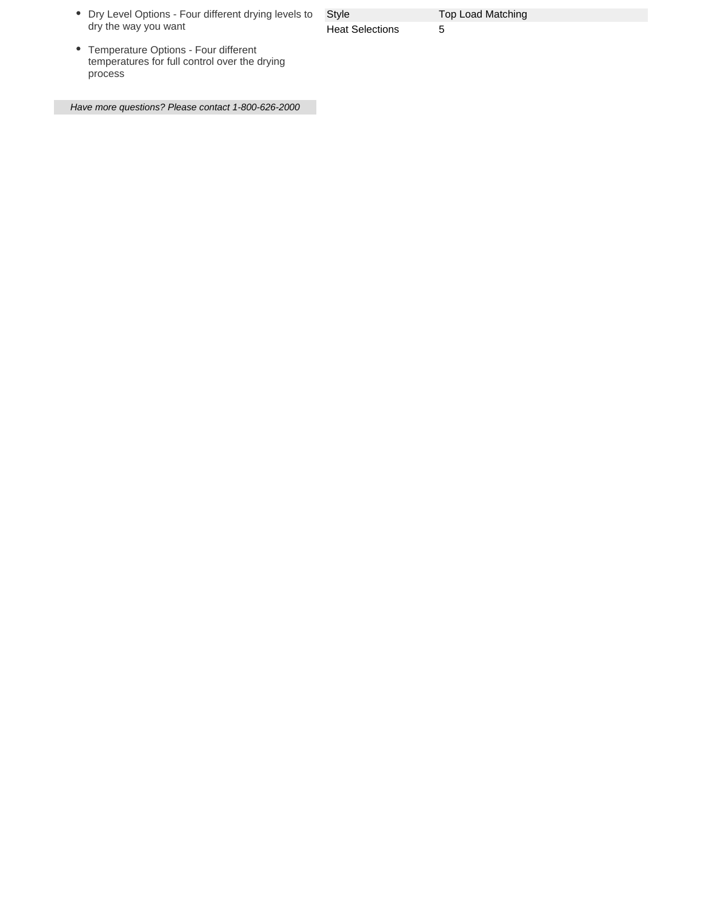| • Dry Level Options - Four different drying levels to |
|-------------------------------------------------------|
| dry the way you want                                  |

Style **Top Load Matching** Heat Selections 5

Temperature Options - Four different temperatures for full control over the drying process

Have more questions? Please contact 1-800-626-2000